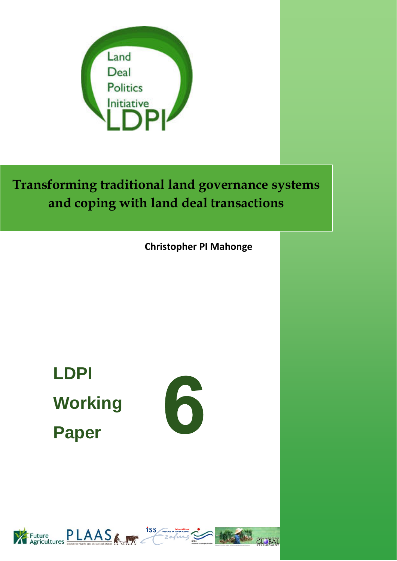

**Transforming traditional land governance systems and coping with land deal transactions**

**Christopher PI Mahonge**

**LDPI Working Paper** 





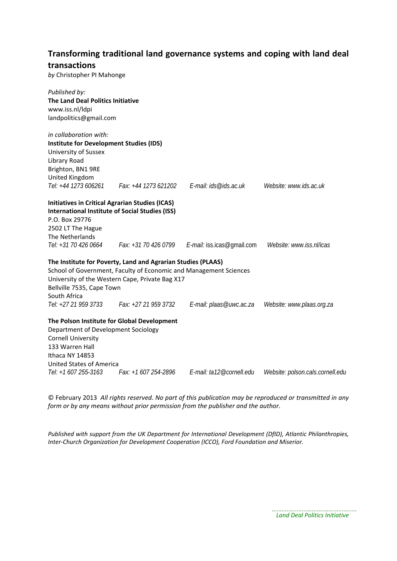### **Transforming traditional land governance systems and coping with land deal transactions**

*by* Christopher PI Mahonge

| Published by:                                          |                                                                   |                                                                      |                                  |
|--------------------------------------------------------|-------------------------------------------------------------------|----------------------------------------------------------------------|----------------------------------|
| The Land Deal Politics Initiative                      |                                                                   |                                                                      |                                  |
| www.iss.nl/ldpi                                        |                                                                   |                                                                      |                                  |
| landpolitics@gmail.com                                 |                                                                   |                                                                      |                                  |
| in collaboration with:                                 |                                                                   |                                                                      |                                  |
| <b>Institute for Development Studies (IDS)</b>         |                                                                   |                                                                      |                                  |
| University of Sussex                                   |                                                                   |                                                                      |                                  |
| Library Road                                           |                                                                   |                                                                      |                                  |
| Brighton, BN1 9RE                                      |                                                                   |                                                                      |                                  |
| United Kingdom                                         |                                                                   |                                                                      |                                  |
| Tel: +44 1273 606261                                   |                                                                   | Fax: +44 1273 621202    E-mail: ids@ids.ac.uk                        | Website: www.ids.ac.uk           |
| <b>Initiatives in Critical Agrarian Studies (ICAS)</b> |                                                                   |                                                                      |                                  |
|                                                        | <b>International Institute of Social Studies (ISS)</b>            |                                                                      |                                  |
| P.O. Box 29776                                         |                                                                   |                                                                      |                                  |
| 2502 LT The Hague                                      |                                                                   |                                                                      |                                  |
| The Netherlands                                        |                                                                   |                                                                      |                                  |
|                                                        |                                                                   | Tel: +31 70 426 0664 Fax: +31 70 426 0799 E-mail: iss.icas@gmail.com | Website: www.iss.nl/icas         |
|                                                        | The Institute for Poverty, Land and Agrarian Studies (PLAAS)      |                                                                      |                                  |
|                                                        | School of Government, Faculty of Economic and Management Sciences |                                                                      |                                  |
|                                                        | University of the Western Cape, Private Bag X17                   |                                                                      |                                  |
| Bellville 7535, Cape Town                              |                                                                   |                                                                      |                                  |
| South Africa                                           |                                                                   |                                                                      |                                  |
|                                                        | Tel: +27 21 959 3733 Fax: +27 21 959 3732                         | E-mail: plaas@uwc.ac.za                                              | Website: www.plaas.org.za        |
|                                                        | The Polson Institute for Global Development                       |                                                                      |                                  |
| Department of Development Sociology                    |                                                                   |                                                                      |                                  |
| <b>Cornell University</b>                              |                                                                   |                                                                      |                                  |
| 133 Warren Hall                                        |                                                                   |                                                                      |                                  |
| Ithaca NY 14853                                        |                                                                   |                                                                      |                                  |
| <b>United States of America</b>                        |                                                                   |                                                                      |                                  |
| Tel: +1 607 255-3163                                   | Fax: +1 607 254-2896                                              | E-mail: ta12@cornell.edu                                             | Website: polson.cals.cornell.edu |

© February 2013 *All rights reserved. No part of this publication may be reproduced or transmitted in any form or by any means without prior permission from the publisher and the author.*

*Published with support from the UK Department for International Development (DfID), Atlantic Philanthropies, Inter‐Church Organization for Development Cooperation (ICCO), Ford Foundation and Miserior.*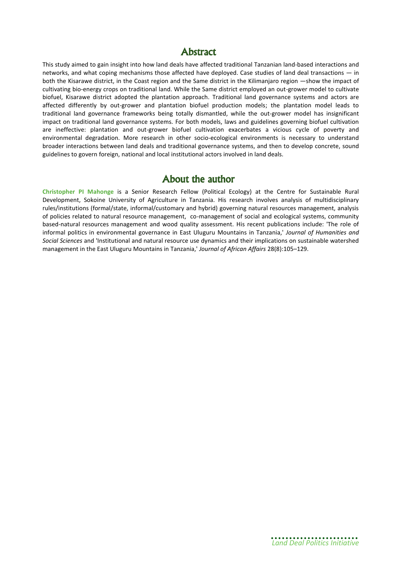### Abstract

This study aimed to gain insight into how land deals have affected traditional Tanzanian land-based interactions and networks, and what coping mechanisms those affected have deployed. Case studies of land deal transactions — in both the Kisarawe district, in the Coast region and the Same district in the Kilimanjaro region —show the impact of cultivating bio-energy crops on traditional land. While the Same district employed an out-grower model to cultivate biofuel, Kisarawe district adopted the plantation approach. Traditional land governance systems and actors are affected differently by out-grower and plantation biofuel production models; the plantation model leads to traditional land governance frameworks being totally dismantled, while the out-grower model has insignificant impact on traditional land governance systems. For both models, laws and guidelines governing biofuel cultivation are ineffective: plantation and out-grower biofuel cultivation exacerbates a vicious cycle of poverty and environmental degradation. More research in other socio-ecological environments is necessary to understand broader interactions between land deals and traditional governance systems, and then to develop concrete, sound guidelines to govern foreign, national and local institutional actors involved in land deals.

### About the author

**Christopher PI Mahonge** is a Senior Research Fellow (Political Ecology) at the Centre for Sustainable Rural Development, Sokoine University of Agriculture in Tanzania. His research involves analysis of multidisciplinary rules/institutions (formal/state, informal/customary and hybrid) governing natural resources management, analysis of policies related to natural resource management, co-management of social and ecological systems, community based-natural resources management and wood quality assessment. His recent publications include: 'The role of informal politics in environmental governance in East Uluguru Mountains in Tanzania,' *Journal of Humanities and Social Sciences* and 'Institutional and natural resource use dynamics and their implications on sustainable watershed management in the East Uluguru Mountains in Tanzania,' *Journal of African Affairs* 28(8):105–129.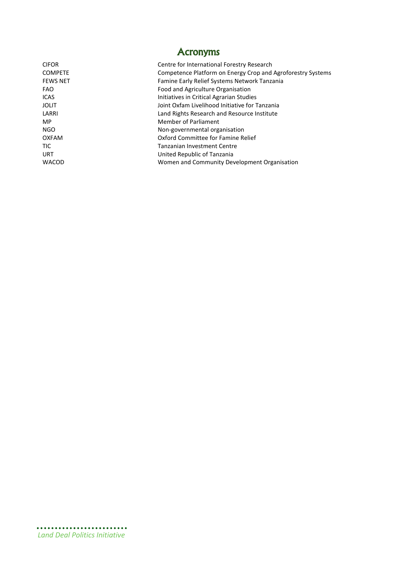| <b>Acronyms</b> |                                                             |  |  |
|-----------------|-------------------------------------------------------------|--|--|
| <b>CIFOR</b>    | Centre for International Forestry Research                  |  |  |
| <b>COMPETE</b>  | Competence Platform on Energy Crop and Agroforestry Systems |  |  |
| <b>FEWS NET</b> | Famine Early Relief Systems Network Tanzania                |  |  |
| <b>FAO</b>      | Food and Agriculture Organisation                           |  |  |
| <b>ICAS</b>     | Initiatives in Critical Agrarian Studies                    |  |  |
| <b>JOLIT</b>    | Joint Oxfam Livelihood Initiative for Tanzania              |  |  |
| LARRI           | Land Rights Research and Resource Institute                 |  |  |
| <b>MP</b>       | Member of Parliament                                        |  |  |
| NGO             | Non-governmental organisation                               |  |  |
| <b>OXFAM</b>    | Oxford Committee for Famine Relief                          |  |  |
| <b>TIC</b>      | <b>Tanzanian Investment Centre</b>                          |  |  |
| <b>URT</b>      | United Republic of Tanzania                                 |  |  |
| <b>WACOD</b>    | Women and Community Development Organisation                |  |  |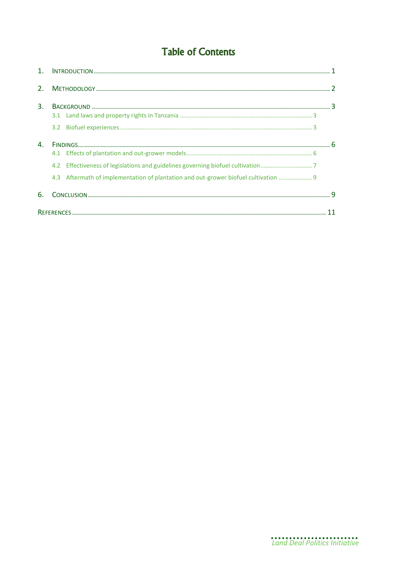# **Table of Contents**

| 2. |                                                                                     |  |
|----|-------------------------------------------------------------------------------------|--|
| 3. |                                                                                     |  |
|    |                                                                                     |  |
|    |                                                                                     |  |
| 4. |                                                                                     |  |
|    |                                                                                     |  |
|    | 4.2 Effectiveness of legislations and guidelines governing biofuel cultivation      |  |
|    | 4.3 Aftermath of implementation of plantation and out-grower biofuel cultivation  9 |  |
| 6. |                                                                                     |  |
|    |                                                                                     |  |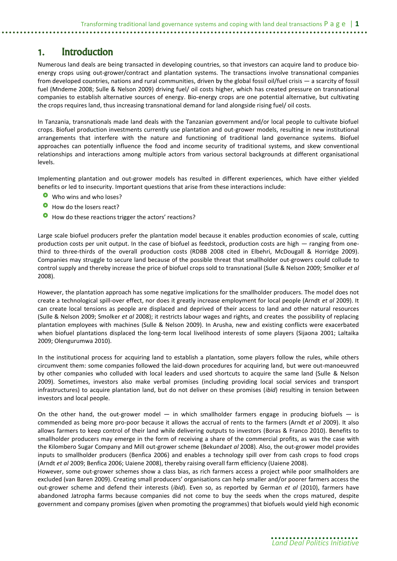## <span id="page-6-0"></span>1. Introduction

Numerous land deals are being transacted in developing countries, so that investors can acquire land to produce bioenergy crops using out-grower/contract and plantation systems. The transactions involve transnational companies from developed countries, nations and rural communities, driven by the global fossil oil/fuel crisis — a scarcity of fossil fuel (Mndeme 2008; Sulle & Nelson 2009) driving fuel/ oil costs higher, which has created pressure on transnational companies to establish alternative sources of energy. Bio-energy crops are one potential alternative, but cultivating the crops requires land, thus increasing transnational demand for land alongside rising fuel/ oil costs.

In Tanzania, transnationals made land deals with the Tanzanian government and/or local people to cultivate biofuel crops. Biofuel production investments currently use plantation and out-grower models, resulting in new institutional arrangements that interfere with the nature and functioning of traditional land governance systems. Biofuel approaches can potentially influence the food and income security of traditional systems, and skew conventional relationships and interactions among multiple actors from various sectoral backgrounds at different organisational levels.

Implementing plantation and out-grower models has resulted in different experiences, which have either yielded benefits or led to insecurity. Important questions that arise from these interactions include:

- Who wins and who loses?
- How do the losers react?
- **O** How do these reactions trigger the actors' reactions?

Large scale biofuel producers prefer the plantation model because it enables production economies of scale, cutting production costs per unit output. In the case of biofuel as feedstock, production costs are high — ranging from onethird to three-thirds of the overall production costs (RDBB 2008 cited in Elbehri, McDougall & Horridge 2009). Companies may struggle to secure land because of the possible threat that smallholder out-growers could collude to control supply and thereby increase the price of biofuel crops sold to transnational (Sulle & Nelson 2009; Smolker *et al* 2008).

However, the plantation approach has some negative implications for the smallholder producers. The model does not create a technological spill-over effect, nor does it greatly increase employment for local people (Arndt *et al* 2009). It can create local tensions as people are displaced and deprived of their access to land and other natural resources (Sulle & Nelson 2009; Smolker *et al* 2008); it restricts labour wages and rights, and creates the possibility of replacing plantation employees with machines (Sulle & Nelson 2009). In Arusha, new and existing conflicts were exacerbated when biofuel plantations displaced the long-term local livelihood interests of some players (Sijaona 2001; Laltaika 2009; Olengurumwa 2010).

In the institutional process for acquiring land to establish a plantation, some players follow the rules, while others circumvent them: some companies followed the laid-down procedures for acquiring land, but were out-manoeuvred by other companies who colluded with local leaders and used shortcuts to acquire the same land (Sulle & Nelson 2009). Sometimes, investors also make verbal promises (including providing local social services and transport infrastructures) to acquire plantation land, but do not deliver on these promises (*ibid*) resulting in tension between investors and local people.

On the other hand, the out-grower model  $-$  in which smallholder farmers engage in producing biofuels  $-$  is commended as being more pro-poor because it allows the accrual of rents to the farmers (Arndt *et al* 2009). It also allows farmers to keep control of their land while delivering outputs to investors (Boras & Franco 2010). Benefits to smallholder producers may emerge in the form of receiving a share of the commercial profits, as was the case with the Kilombero Sugar Company and Mill out-grower scheme (Bekunda*et al* 2008). Also, the out-grower model provides inputs to smallholder producers (Benfica 2006) and enables a technology spill over from cash crops to food crops (Arndt *et al* 2009; Benfica 2006; Uaiene 2008), thereby raising overall farm efficiency (Uaiene 2008).

However, some out-grower schemes show a class bias, as rich farmers access a project while poor smallholders are excluded (van Baren 2009). Creating small producers' organisations can help smaller and/or poorer farmers access the out-grower scheme and defend their interests (*ibid*). Even so, as reported by German *et al* (2010), farmers have abandoned Jatropha farms because companies did not come to buy the seeds when the crops matured, despite government and company promises (given when promoting the programmes) that biofuels would yield high economic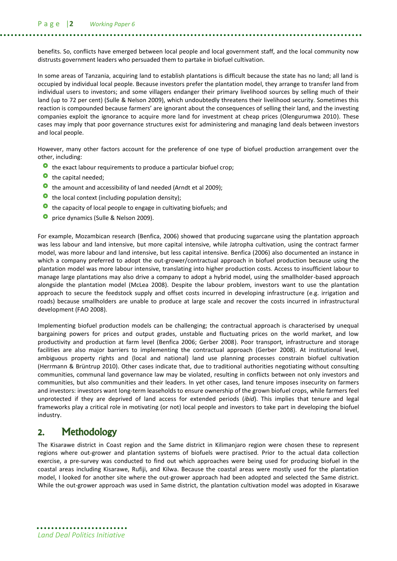benefits. So, conflicts have emerged between local people and local government staff, and the local community now distrusts government leaders who persuaded them to partake in biofuel cultivation.

In some areas of Tanzania, acquiring land to establish plantations is difficult because the state has no land; all land is occupied by individual local people. Because investors prefer the plantation model, they arrange to transfer land from individual users to investors; and some villagers endanger their primary livelihood sources by selling much of their land (up to 72 per cent) (Sulle & Nelson 2009), which undoubtedly threatens their livelihood security. Sometimes this reaction is compounded because farmers' are ignorant about the consequences of selling their land, and the investing companies exploit the ignorance to acquire more land for investment at cheap prices (Olengurumwa 2010). These cases may imply that poor governance structures exist for administering and managing land deals between investors and local people.

However, many other factors account for the preference of one type of biofuel production arrangement over the other, including:

- **O** the exact labour requirements to produce a particular biofuel crop;
- the capital needed;
- the amount and accessibility of land needed (Arndt et al 2009);
- **O** the local context (including population density);
- **O** the capacity of local people to engage in cultivating biofuels; and
- **O** price dynamics (Sulle & Nelson 2009).

For example, Mozambican research (Benfica, 2006) showed that producing sugarcane using the plantation approach was less labour and land intensive, but more capital intensive, while Jatropha cultivation, using the contract farmer model, was more labour and land intensive, but less capital intensive. Benfica (2006) also documented an instance in which a company preferred to adopt the out-grower/contractual approach in biofuel production because using the plantation model was more labour intensive, translating into higher production costs. Access to insufficient labour to manage large plantations may also drive a company to adopt a hybrid model, using the smallholder-based approach alongside the plantation model (McLea 2008). Despite the labour problem, investors want to use the plantation approach to secure the feedstock supply and offset costs incurred in developing infrastructure (e.g. irrigation and roads) because smallholders are unable to produce at large scale and recover the costs incurred in infrastructural development (FAO 2008).

Implementing biofuel production models can be challenging; the contractual approach is characterised by unequal bargaining powers for prices and output grades, unstable and fluctuating prices on the world market, and low productivity and production at farm level (Benfica 2006; Gerber 2008). Poor transport, infrastructure and storage facilities are also major barriers to implementing the contractual approach (Gerber 2008). At institutional level, ambiguous property rights and (local and national) land use planning processes constrain biofuel cultivation (Herrmann & Brüntrup 2010). Other cases indicate that, due to traditional authorities negotiating without consulting communities, communal land governance law may be violated, resulting in conflicts between not only investors and communities, but also communities and their leaders. In yet other cases, land tenure imposes insecurity on farmers and investors: investors want long-term leaseholds to ensure ownership of the grown biofuel crops, while farmers feel unprotected if they are deprived of land access for extended periods (*ibid*). This implies that tenure and legal frameworks play a critical role in motivating (or not) local people and investors to take part in developing the biofuel industry.

### <span id="page-7-0"></span>2. Methodology

The Kisarawe district in Coast region and the Same district in Kilimanjaro region were chosen these to represent regions where out-grower and plantation systems of biofuels were practised. Prior to the actual data collection exercise, a pre-survey was conducted to find out which approaches were being used for producing biofuel in the coastal areas including Kisarawe, Rufiji, and Kilwa. Because the coastal areas were mostly used for the plantation model, I looked for another site where the out-grower approach had been adopted and selected the Same district. While the out-grower approach was used in Same district, the plantation cultivation model was adopted in Kisarawe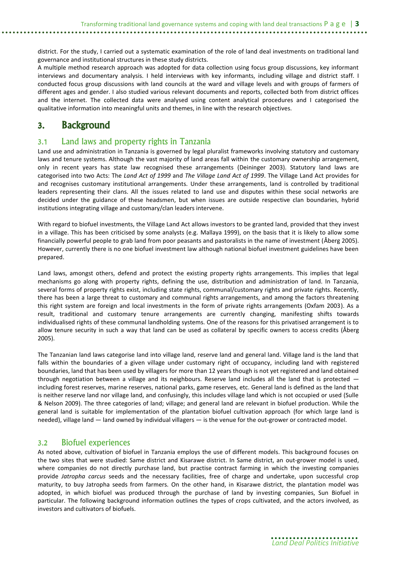district. For the study, I carried out a systematic examination of the role of land deal investments on traditional land governance and institutional structures in these study districts.

A multiple method research approach was adopted for data collection using focus group discussions, key informant interviews and documentary analysis. I held interviews with key informants, including village and district staff. I conducted focus group discussions with land councils at the ward and village levels and with groups of farmers of different ages and gender. I also studied various relevant documents and reports, collected both from district offices and the internet. The collected data were analysed using content analytical procedures and I categorised the qualitative information into meaningful units and themes, in line with the research objectives.

## <span id="page-8-0"></span>3. Background

### <span id="page-8-1"></span>3.1 Land laws and property rights in Tanzania

Land use and administration in Tanzania is governed by legal pluralist frameworks involving statutory and customary laws and tenure systems. Although the vast majority of land areas fall within the customary ownership arrangement, only in recent years has state law recognised these arrangements (Deininger 2003). Statutory land laws are categorised into two Acts: The *Land Act of 1999* and *The Village Land Act of 1999*. The Village Land Act provides for and recognises customary institutional arrangements. Under these arrangements, land is controlled by traditional leaders representing their clans. All the issues related to land use and disputes within these social networks are decided under the guidance of these headsmen, but when issues are outside respective clan boundaries, hybrid institutions integrating village and customary/clan leaders intervene.

With regard to biofuel investments, the Village Land Act allows investors to be granted land, provided that they invest in a village. This has been criticised by some analysts (e.g. Mallaya 1999), on the basis that it is likely to allow some financially powerful people to grab land from poor peasants and pastoralists in the name of investment (Åberg 2005). However, currently there is no one biofuel investment law although national biofuel investment guidelines have been prepared.

Land laws, amongst others, defend and protect the existing property rights arrangements. This implies that legal mechanisms go along with property rights, defining the use, distribution and administration of land. In Tanzania, several forms of property rights exist, including state rights, communal/customary rights and private rights. Recently, there has been a large threat to customary and communal rights arrangements, and among the factors threatening this right system are foreign and local investments in the form of private rights arrangements (Oxfam 2003). As a result, traditional and customary tenure arrangements are currently changing, manifesting shifts towards individualised rights of these communal landholding systems. One of the reasons for this privatised arrangement is to allow tenure security in such a way that land can be used as collateral by specific owners to access credits (Åberg 2005).

The Tanzanian land laws categorise land into village land, reserve land and general land. Village land is the land that falls within the boundaries of a given village under customary right of occupancy, including land with registered boundaries, land that has been used by villagers for more than 12 years though is not yet registered and land obtained through negotiation between a village and its neighbours. Reserve land includes all the land that is protected including forest reserves, marine reserves, national parks, game reserves, etc. General land is defined as the land that is neither reserve land nor village land, and confusingly, this includes village land which is not occupied or used (Sulle & Nelson 2009). The three categories of land; village; and general land are relevant in biofuel production. While the general land is suitable for implementation of the plantation biofuel cultivation approach (for which large land is needed), village land — land owned by individual villagers — is the venue for the out-grower or contracted model.

### <span id="page-8-2"></span>3.2 Biofuel experiences

As noted above, cultivation of biofuel in Tanzania employs the use of different models. This background focuses on the two sites that were studied: Same district and Kisarawe district. In Same district, an out-grower model is used, where companies do not directly purchase land, but practise contract farming in which the investing companies provide *Jatropha carcus* seeds and the necessary facilities, free of charge and undertake, upon successful crop maturity, to buy Jatropha seeds from farmers. On the other hand, in Kisarawe district, the plantation model was adopted, in which biofuel was produced through the purchase of land by investing companies, Sun Biofuel in particular. The following background information outlines the types of crops cultivated, and the actors involved, as investors and cultivators of biofuels.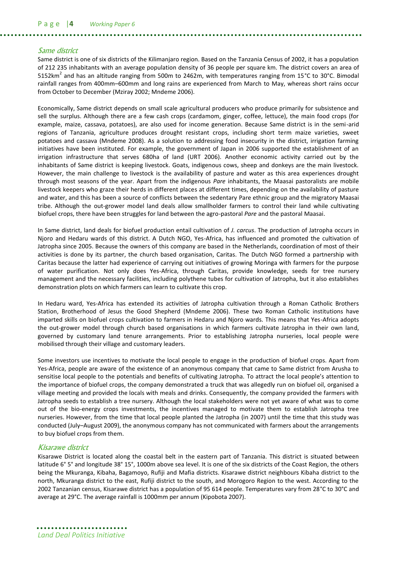#### Same district

Same district is one of six districts of the Kilimanjaro region. Based on the Tanzania Census of 2002, it has a population of 212 235 inhabitants with an average population density of 36 people per square km. The district covers an area of 5152km<sup>2</sup> and has an altitude ranging from 500m to 2462m, with temperatures ranging from 15°C to 30°C. Bimodal rainfall ranges from 400mm–600mm and long rains are experienced from March to May, whereas short rains occur from October to December (Mziray 2002; Mndeme 2006).

Economically, Same district depends on small scale agricultural producers who produce primarily for subsistence and sell the surplus. Although there are a few cash crops (cardamom, ginger, coffee, lettuce), the main food crops (for example, maize, cassava, potatoes), are also used for income generation. Because Same district is in the semi-arid regions of Tanzania, agriculture produces drought resistant crops, including short term maize varieties, sweet potatoes and cassava (Mndeme 2008). As a solution to addressing food insecurity in the district, irrigation farming initiatives have been instituted. For example, the government of Japan in 2006 supported the establishment of an irrigation infrastructure that serves 680ha of land (URT 2006). Another economic activity carried out by the inhabitants of Same district is keeping livestock. Goats, indigenous cows, sheep and donkeys are the main livestock. However, the main challenge to livestock is the availability of pasture and water as this area experiences drought through most seasons of the year. Apart from the indigenous *Pare* inhabitants, the Maasai pastoralists are mobile livestock keepers who graze their herds in different places at different times, depending on the availability of pasture and water, and this has been a source of conflicts between the sedentary Pare ethnic group and the migratory Maasai tribe. Although the out-grower model land deals allow smallholder farmers to control their land while cultivating biofuel crops, there have been struggles for land between the agro-pastoral *Pare* and the pastoral Maasai.

In Same district, land deals for biofuel production entail cultivation of *J. carcus*. The production of Jatropha occurs in Njoro and Hedaru wards of this district. A Dutch NGO, Yes-Africa, has influenced and promoted the cultivation of Jatropha since 2005. Because the owners of this company are based in the Netherlands, coordination of most of their activities is done by its partner, the church based organisation, Caritas. The Dutch NGO formed a partnership with Caritas because the latter had experience of carrying out initiatives of growing Moringa with farmers for the purpose of water purification. Not only does Yes-Africa, through Caritas, provide knowledge, seeds for tree nursery management and the necessary facilities, including polythene tubes for cultivation of Jatropha, but it also establishes demonstration plots on which farmers can learn to cultivate this crop.

In Hedaru ward, Yes-Africa has extended its activities of Jatropha cultivation through a Roman Catholic Brothers Station, Brotherhood of Jesus the Good Shepherd (Mndeme 2006). These two Roman Catholic institutions have imparted skills on biofuel crops cultivation to farmers in Hedaru and Njoro wards. This means that Yes-Africa adopts the out-grower model through church based organisations in which farmers cultivate Jatropha in their own land, governed by customary land tenure arrangements. Prior to establishing Jatropha nurseries, local people were mobilised through their village and customary leaders.

Some investors use incentives to motivate the local people to engage in the production of biofuel crops. Apart from Yes-Africa, people are aware of the existence of an anonymous company that came to Same district from Arusha to sensitise local people to the potentials and benefits of cultivating Jatropha. To attract the local people's attention to the importance of biofuel crops, the company demonstrated a truck that was allegedly run on biofuel oil, organised a village meeting and provided the locals with meals and drinks. Consequently, the company provided the farmers with Jatropha seeds to establish a tree nursery. Although the local stakeholders were not yet aware of what was to come out of the bio-energy crops investments, the incentives managed to motivate them to establish Jatropha tree nurseries. However, from the time that local people planted the Jatropha (in 2007) until the time that this study was conducted (July–August 2009), the anonymous company has not communicated with farmers about the arrangements to buy biofuel crops from them.

#### Kisarawe district

Kisarawe District is located along the coastal belt in the eastern part of Tanzania. This district is situated between latitude 6° 5° and longitude 38° 15°, 1000m above sea level. It is one of the six districts of the Coast Region, the others being the Mkuranga, Kibaha, Bagamoyo, Rufiji and Mafia districts. Kisarawe district neighbours Kibaha district to the north, Mkuranga district to the east, Rufiji district to the south, and Morogoro Region to the west. According to the 2002 Tanzanian census, Kisarawe district has a population of 95 614 people. Temperatures vary from 28°C to 30°C and average at 29°C. The average rainfall is 1000mm per annum (Kipobota 2007).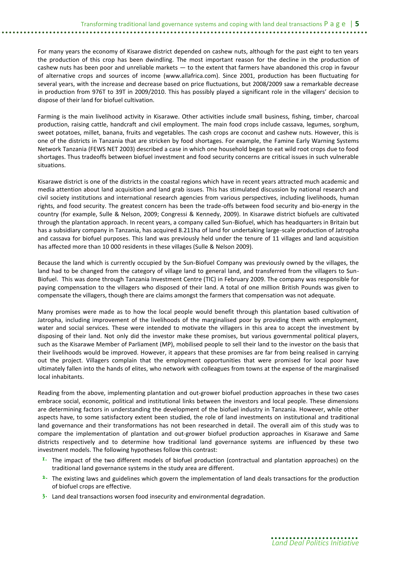For many years the economy of Kisarawe district depended on cashew nuts, although for the past eight to ten years the production of this crop has been dwindling. The most important reason for the decline in the production of cashew nuts has been poor and unreliable markets — to the extent that farmers have abandoned this crop in favour of alternative crops and sources of income (www.allafrica.com). Since 2001, production has been fluctuating for several years, with the increase and decrease based on price fluctuations, but 2008/2009 saw a remarkable decrease in production from 976T to 39T in 2009/2010. This has possibly played a significant role in the villagers' decision to dispose of their land for biofuel cultivation.

Farming is the main livelihood activity in Kisarawe. Other activities include small business, fishing, timber, charcoal production, raising cattle, handcraft and civil employment. The main food crops include cassava, legumes, sorghum, sweet potatoes, millet, banana, fruits and vegetables. The cash crops are coconut and cashew nuts. However, this is one of the districts in Tanzania that are stricken by food shortages. For example, the Famine Early Warning Systems Network Tanzania (FEWS NET 2003) described a case in which one household began to eat wild root crops due to food shortages. Thus tradeoffs between biofuel investment and food security concerns are critical issues in such vulnerable situations.

Kisarawe district is one of the districts in the coastal regions which have in recent years attracted much academic and media attention about land acquisition and land grab issues. This has stimulated discussion by national research and civil society institutions and international research agencies from various perspectives, including livelihoods, human rights, and food security. The greatest concern has been the trade-offs between food security and bio-energy in the country (for example, Sulle & Nelson, 2009; Congressi & Kennedy, 2009). In Kisarawe district biofuels are cultivated through the plantation approach. In recent years, a company called Sun-Biofuel, which has headquarters in Britain but has a subsidiary company in Tanzania, has acquired 8.211ha of land for undertaking large-scale production of Jatropha and cassava for biofuel purposes. This land was previously held under the tenure of 11 villages and land acquisition has affected more than 10 000 residents in these villages (Sulle & Nelson 2009).

Because the land which is currently occupied by the Sun-Biofuel Company was previously owned by the villages, the land had to be changed from the category of village land to general land, and transferred from the villagers to Sun-Biofuel. This was done through Tanzania Investment Centre (TIC) in February 2009. The company was responsible for paying compensation to the villagers who disposed of their land. A total of one million British Pounds was given to compensate the villagers, though there are claims amongst the farmers that compensation was not adequate.

Many promises were made as to how the local people would benefit through this plantation based cultivation of Jatropha, including improvement of the livelihoods of the marginalised poor by providing them with employment, water and social services. These were intended to motivate the villagers in this area to accept the investment by disposing of their land. Not only did the investor make these promises, but various governmental political players, such as the Kisarawe Member of Parliament (MP), mobilised people to sell their land to the investor on the basis that their livelihoods would be improved. However, it appears that these promises are far from being realised in carrying out the project. Villagers complain that the employment opportunities that were promised for local poor have ultimately fallen into the hands of elites, who network with colleagues from towns at the expense of the marginalised local inhabitants.

Reading from the above, implementing plantation and out-grower biofuel production approaches in these two cases embrace social, economic, political and institutional links between the investors and local people. These dimensions are determining factors in understanding the development of the biofuel industry in Tanzania. However, while other aspects have, to some satisfactory extent been studied, the role of land investments on institutional and traditional land governance and their transformations has not been researched in detail. The overall aim of this study was to compare the implementation of plantation and out-grower biofuel production approaches in Kisarawe and Same districts respectively and to determine how traditional land governance systems are influenced by these two investment models. The following hypotheses follow this contrast:

- <sup>1.</sup> The impact of the two different models of biofuel production (contractual and plantation approaches) on the traditional land governance systems in the study area are different.
- $2.$  The existing laws and guidelines which govern the implementation of land deals transactions for the production of biofuel crops are effective.
- $3<sup>3</sup>$  Land deal transactions worsen food insecurity and environmental degradation.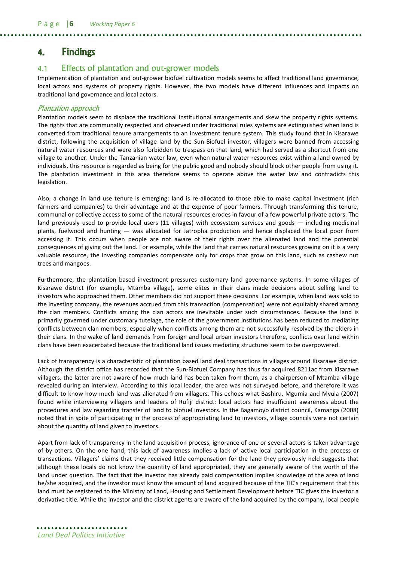### <span id="page-11-0"></span>4. Findings

### <span id="page-11-1"></span>4.1 Effects of plantation and out-grower models

Implementation of plantation and out-grower biofuel cultivation models seems to affect traditional land governance, local actors and systems of property rights. However, the two models have different influences and impacts on traditional land governance and local actors.

#### Plantation approach

Plantation models seem to displace the traditional institutional arrangements and skew the property rights systems. The rights that are communally respected and observed under traditional rules systems are extinguished when land is converted from traditional tenure arrangements to an investment tenure system. This study found that in Kisarawe district, following the acquisition of village land by the Sun-Biofuel investor, villagers were banned from accessing natural water resources and were also forbidden to trespass on that land, which had served as a shortcut from one village to another. Under the Tanzanian water law, even when natural water resources exist within a land owned by individuals, this resource is regarded as being for the public good and nobody should block other people from using it. The plantation investment in this area therefore seems to operate above the water law and contradicts this legislation.

Also, a change in land use tenure is emerging: land is re-allocated to those able to make capital investment (rich farmers and companies) to their advantage and at the expense of poor farmers. Through transforming this tenure, communal or collective access to some of the natural resources erodes in favour of a few powerful private actors. The land previously used to provide local users (11 villages) with ecosystem services and goods — including medicinal plants, fuelwood and hunting — was allocated for Jatropha production and hence displaced the local poor from accessing it. This occurs when people are not aware of their rights over the alienated land and the potential consequences of giving out the land. For example, while the land that carries natural resources growing on it is a very valuable resource, the investing companies compensate only for crops that grow on this land, such as cashew nut trees and mangoes.

Furthermore, the plantation based investment pressures customary land governance systems. In some villages of Kisarawe district (for example, Mtamba village), some elites in their clans made decisions about selling land to investors who approached them. Other members did not support these decisions. For example, when land was sold to the investing company, the revenues accrued from this transaction (compensation) were not equitably shared among the clan members. Conflicts among the clan actors are inevitable under such circumstances. Because the land is primarily governed under customary tutelage, the role of the government institutions has been reduced to mediating conflicts between clan members, especially when conflicts among them are not successfully resolved by the elders in their clans. In the wake of land demands from foreign and local urban investors therefore, conflicts over land within clans have been exacerbated because the traditional land issues mediating structures seem to be overpowered.

Lack of transparency is a characteristic of plantation based land deal transactions in villages around Kisarawe district. Although the district office has recorded that the Sun-Biofuel Company has thus far acquired 8211ac from Kisarawe villagers, the latter are not aware of how much land has been taken from them, as a chairperson of Mtamba village revealed during an interview. According to this local leader, the area was not surveyed before, and therefore it was difficult to know how much land was alienated from villagers. This echoes what Bashiru, Mgumia and Mvula (2007) found while interviewing villagers and leaders of Rufiji district: local actors had insufficient awareness about the procedures and law regarding transfer of land to biofuel investors. In the Bagamoyo district council, Kamanga (2008) noted that in spite of participating in the process of appropriating land to investors, village councils were not certain about the quantity of land given to investors.

Apart from lack of transparency in the land acquisition process, ignorance of one or several actors is taken advantage of by others. On the one hand, this lack of awareness implies a lack of active local participation in the process or transactions. Villagers' claims that they received little compensation for the land they previously held suggests that although these locals do not know the quantity of land appropriated, they are generally aware of the worth of the land under question. The fact that the investor has already paid compensation implies knowledge of the area of land he/she acquired, and the investor must know the amount of land acquired because of the TIC's requirement that this land must be registered to the Ministry of Land, Housing and Settlement Development before TIC gives the investor a derivative title. While the investor and the district agents are aware of the land acquired by the company, local people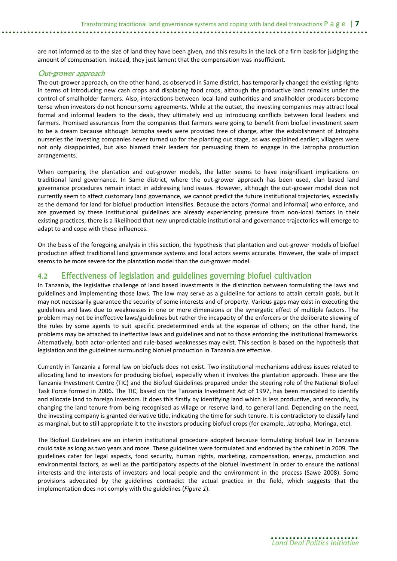are not informed as to the size of land they have been given, and this results in the lack of a firm basis for judging the amount of compensation. Instead, they just lament that the compensation was insufficient.

#### Out-grower approach

The out-grower approach, on the other hand, as observed in Same district, has temporarily changed the existing rights in terms of introducing new cash crops and displacing food crops, although the productive land remains under the control of smallholder farmers. Also, interactions between local land authorities and smallholder producers become tense when investors do not honour some agreements. While at the outset, the investing companies may attract local formal and informal leaders to the deals, they ultimately end up introducing conflicts between local leaders and farmers. Promised assurances from the companies that farmers were going to benefit from biofuel investment seem to be a dream because although Jatropha seeds were provided free of charge, after the establishment of Jatropha nurseries the investing companies never turned up for the planting out stage, as was explained earlier; villagers were not only disappointed, but also blamed their leaders for persuading them to engage in the Jatropha production arrangements.

When comparing the plantation and out-grower models, the latter seems to have insignificant implications on traditional land governance. In Same district, where the out-grower approach has been used, clan based land governance procedures remain intact in addressing land issues. However, although the out-grower model does not currently seem to affect customary land governance, we cannot predict the future institutional trajectories, especially as the demand for land for biofuel production intensifies. Because the actors (formal and informal) who enforce, and are governed by these institutional guidelines are already experiencing pressure from non-local factors in their existing practices, there is a likelihood that new unpredictable institutional and governance trajectories will emerge to adapt to and cope with these influences.

On the basis of the foregoing analysis in this section, the hypothesis that plantation and out-grower models of biofuel production affect traditional land governance systems and local actors seems accurate. However, the scale of impact seems to be more severe for the plantation model than the out-grower model.

### <span id="page-12-0"></span>4.2 Effectiveness of legislation and guidelines governing biofuel cultivation

In Tanzania, the legislative challenge of land based investments is the distinction between formulating the laws and guidelines and implementing those laws. The law may serve as a guideline for actions to attain certain goals, but it may not necessarily guarantee the security of some interests and of property. Various gaps may exist in executing the guidelines and laws due to weaknesses in one or more dimensions or the synergetic effect of multiple factors. The problem may not be ineffective laws/guidelines but rather the incapacity of the enforcers or the deliberate skewing of the rules by some agents to suit specific predetermined ends at the expense of others; on the other hand, the problems may be attached to ineffective laws and guidelines and not to those enforcing the institutional frameworks. Alternatively, both actor-oriented and rule-based weaknesses may exist. This section is based on the hypothesis that legislation and the guidelines surrounding biofuel production in Tanzania are effective.

Currently in Tanzania a formal law on biofuels does not exist. Two institutional mechanisms address issues related to allocating land to investors for producing biofuel, especially when it involves the plantation approach. These are the Tanzania Investment Centre (TIC) and the Biofuel Guidelines prepared under the steering role of the National Biofuel Task Force formed in 2006. The TIC, based on the Tanzania Investment Act of 1997, has been mandated to identify and allocate land to foreign investors. It does this firstly by identifying land which is less productive, and secondly, by changing the land tenure from being recognised as village or reserve land, to general land. Depending on the need, the investing company is granted derivative title, indicating the time for such tenure. It is contradictory to classify land as marginal, but to still appropriate it to the investors producing biofuel crops (for example, Jatropha, Moringa, etc).

The Biofuel Guidelines are an interim institutional procedure adopted because formulating biofuel law in Tanzania could take as long as two years and more. These guidelines were formulated and endorsed by the cabinet in 2009. The guidelines cater for legal aspects, food security, human rights, marketing, compensation, energy, production and environmental factors, as well as the participatory aspects of the biofuel investment in order to ensure the national interests and the interests of investors and local people and the environment in the process (Sawe 2008). Some provisions advocated by the guidelines contradict the actual practice in the field, which suggests that the implementation does not comply with the guidelines (*Figure 1*).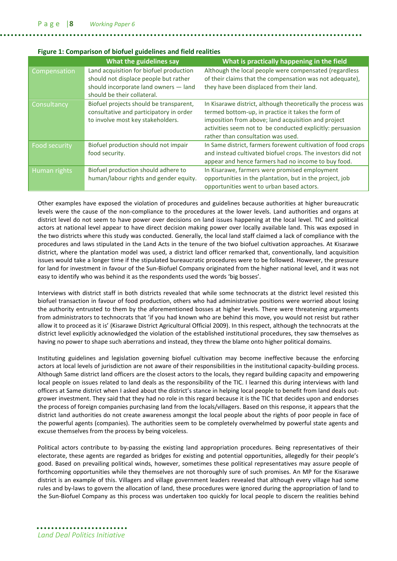| <u>is an a semparison or storage satementes and note round</u> |                                                                                                                                                          |                                                                                                                                                                                                                                                                               |  |  |  |  |
|----------------------------------------------------------------|----------------------------------------------------------------------------------------------------------------------------------------------------------|-------------------------------------------------------------------------------------------------------------------------------------------------------------------------------------------------------------------------------------------------------------------------------|--|--|--|--|
|                                                                | What the guidelines say                                                                                                                                  | What is practically happening in the field                                                                                                                                                                                                                                    |  |  |  |  |
| Compensation                                                   | Land acquisition for biofuel production<br>should not displace people but rather<br>should incorporate land owners - land<br>should be their collateral. | Although the local people were compensated (regardless<br>of their claims that the compensation was not adequate),<br>they have been displaced from their land.                                                                                                               |  |  |  |  |
| Consultancy                                                    | Biofuel projects should be transparent,<br>consultative and participatory in order<br>to involve most key stakeholders.                                  | In Kisarawe district, although theoretically the process was<br>termed bottom-up, in practice it takes the form of<br>imposition from above; land acquisition and project<br>activities seem not to be conducted explicitly: persuasion<br>rather than consultation was used. |  |  |  |  |
| <b>Food security</b>                                           | Biofuel production should not impair<br>food security.                                                                                                   | In Same district, farmers forewent cultivation of food crops<br>and instead cultivated biofuel crops. The investors did not<br>appear and hence farmers had no income to buy food.                                                                                            |  |  |  |  |
| Human rights                                                   | Biofuel production should adhere to<br>human/labour rights and gender equity.                                                                            | In Kisarawe, farmers were promised employment<br>opportunities in the plantation, but in the project, job<br>opportunities went to urban based actors.                                                                                                                        |  |  |  |  |

#### **Figure 1: Comparison of biofuel guidelines and field realities**

Other examples have exposed the violation of procedures and guidelines because authorities at higher bureaucratic levels were the cause of the non-compliance to the procedures at the lower levels. Land authorities and organs at district level do not seem to have power over decisions on land issues happening at the local level. TIC and political actors at national level appear to have direct decision making power over locally available land. This was exposed in the two districts where this study was conducted. Generally, the local land staff claimed a lack of compliance with the procedures and laws stipulated in the Land Acts in the tenure of the two biofuel cultivation approaches. At Kisarawe district, where the plantation model was used, a district land officer remarked that, conventionally, land acquisition issues would take a longer time if the stipulated bureaucratic procedures were to be followed. However, the pressure for land for investment in favour of the Sun-Biofuel Company originated from the higher national level, and it was not easy to identify who was behind it as the respondents used the words 'big bosses'.

Interviews with district staff in both districts revealed that while some technocrats at the district level resisted this biofuel transaction in favour of food production, others who had administrative positions were worried about losing the authority entrusted to them by the aforementioned bosses at higher levels. There were threatening arguments from administrators to technocrats that 'if you had known who are behind this move, you would not resist but rather allow it to proceed as it is' (Kisarawe District Agricultural Official 2009). In this respect, although the technocrats at the district level explicitly acknowledged the violation of the established institutional procedures, they saw themselves as having no power to shape such aberrations and instead, they threw the blame onto higher political domains.

Instituting guidelines and legislation governing biofuel cultivation may become ineffective because the enforcing actors at local levels of jurisdiction are not aware of their responsibilities in the institutional capacity-building process. Although Same district land officers are the closest actors to the locals, they regard building capacity and empowering local people on issues related to land deals as the responsibility of the TIC. I learned this during interviews with land officers at Same district when I asked about the district's stance in helping local people to benefit from land deals outgrower investment. They said that they had no role in this regard because it is the TIC that decides upon and endorses the process of foreign companies purchasing land from the locals/villagers. Based on this response, it appears that the district land authorities do not create awareness amongst the local people about the rights of poor people in face of the powerful agents (companies). The authorities seem to be completely overwhelmed by powerful state agents and excuse themselves from the process by being voiceless.

Political actors contribute to by-passing the existing land appropriation procedures. Being representatives of their electorate, these agents are regarded as bridges for existing and potential opportunities, allegedly for their people's good. Based on prevailing political winds, however, sometimes these political representatives may assure people of forthcoming opportunities while they themselves are not thoroughly sure of such promises. An MP for the Kisarawe district is an example of this. Villagers and village government leaders revealed that although every village had some rules and by-laws to govern the allocation of land, these procedures were ignored during the appropriation of land to the Sun-Biofuel Company as this process was undertaken too quickly for local people to discern the realities behind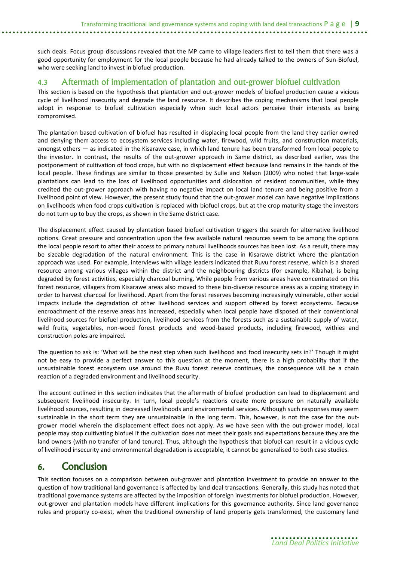such deals. Focus group discussions revealed that the MP came to village leaders first to tell them that there was a good opportunity for employment for the local people because he had already talked to the owners of Sun-Biofuel, who were seeking land to invest in biofuel production.

### <span id="page-14-0"></span>4.3 Aftermath of implementation of plantation and out-grower biofuel cultivation

This section is based on the hypothesis that plantation and out-grower models of biofuel production cause a vicious cycle of livelihood insecurity and degrade the land resource. It describes the coping mechanisms that local people adopt in response to biofuel cultivation especially when such local actors perceive their interests as being compromised.

The plantation based cultivation of biofuel has resulted in displacing local people from the land they earlier owned and denying them access to ecosystem services including water, firewood, wild fruits, and construction materials, amongst others — as indicated in the Kisarawe case, in which land tenure has been transformed from local people to the investor. In contrast, the results of the out-grower approach in Same district, as described earlier, was the postponement of cultivation of food crops, but with no displacement effect because land remains in the hands of the local people. These findings are similar to those presented by Sulle and Nelson (2009) who noted that large-scale plantations can lead to the loss of livelihood opportunities and dislocation of resident communities, while they credited the out-grower approach with having no negative impact on local land tenure and being positive from a livelihood point of view. However, the present study found that the out-grower model can have negative implications on livelihoods when food crops cultivation is replaced with biofuel crops, but at the crop maturity stage the investors do not turn up to buy the crops, as shown in the Same district case.

The displacement effect caused by plantation based biofuel cultivation triggers the search for alternative livelihood options. Great pressure and concentration upon the few available natural resources seem to be among the options the local people resort to after their access to primary natural livelihoods sources has been lost. As a result, there may be sizeable degradation of the natural environment. This is the case in Kisarawe district where the plantation approach was used. For example, interviews with village leaders indicated that Ruvu forest reserve, which is a shared resource among various villages within the district and the neighbouring districts (for example, Kibaha), is being degraded by forest activities, especially charcoal burning. While people from various areas have concentrated on this forest resource, villagers from Kisarawe areas also moved to these bio-diverse resource areas as a coping strategy in order to harvest charcoal for livelihood. Apart from the forest reserves becoming increasingly vulnerable, other social impacts include the degradation of other livelihood services and support offered by forest ecosystems. Because encroachment of the reserve areas has increased, especially when local people have disposed of their conventional livelihood sources for biofuel production, livelihood services from the forests such as a sustainable supply of water, wild fruits, vegetables, non-wood forest products and wood-based products, including firewood, withies and construction poles are impaired.

The question to ask is: 'What will be the next step when such livelihood and food insecurity sets in?' Though it might not be easy to provide a perfect answer to this question at the moment, there is a high probability that if the unsustainable forest ecosystem use around the Ruvu forest reserve continues, the consequence will be a chain reaction of a degraded environment and livelihood security.

The account outlined in this section indicates that the aftermath of biofuel production can lead to displacement and subsequent livelihood insecurity. In turn, local people's reactions create more pressure on naturally available livelihood sources, resulting in decreased livelihoods and environmental services. Although such responses may seem sustainable in the short term they are unsustainable in the long term. This, however, is not the case for the outgrower model wherein the displacement effect does not apply. As we have seen with the out-grower model, local people may stop cultivating biofuel if the cultivation does not meet their goals and expectations because they are the land owners (with no transfer of land tenure). Thus, although the hypothesis that biofuel can result in a vicious cycle of livelihood insecurity and environmental degradation is acceptable, it cannot be generalised to both case studies.

## <span id="page-14-1"></span>6. Conclusion

This section focuses on a comparison between out-grower and plantation investment to provide an answer to the question of how traditional land governance is affected by land deal transactions. Generally, this study has noted that traditional governance systems are affected by the imposition of foreign investments for biofuel production. However, out-grower and plantation models have different implications for this governance authority. Since land governance rules and property co-exist, when the traditional ownership of land property gets transformed, the customary land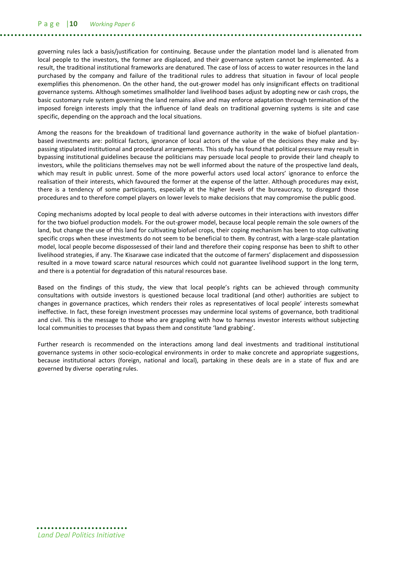governing rules lack a basis/justification for continuing. Because under the plantation model land is alienated from local people to the investors, the former are displaced, and their governance system cannot be implemented. As a result, the traditional institutional frameworks are denatured. The case of loss of access to water resources in the land purchased by the company and failure of the traditional rules to address that situation in favour of local people exemplifies this phenomenon. On the other hand, the out-grower model has only insignificant effects on traditional governance systems. Although sometimes smallholder land livelihood bases adjust by adopting new or cash crops, the basic customary rule system governing the land remains alive and may enforce adaptation through termination of the imposed foreign interests imply that the influence of land deals on traditional governing systems is site and case specific, depending on the approach and the local situations.

Among the reasons for the breakdown of traditional land governance authority in the wake of biofuel plantationbased investments are: political factors, ignorance of local actors of the value of the decisions they make and bypassing stipulated institutional and procedural arrangements. This study has found that political pressure may result in bypassing institutional guidelines because the politicians may persuade local people to provide their land cheaply to investors, while the politicians themselves may not be well informed about the nature of the prospective land deals, which may result in public unrest. Some of the more powerful actors used local actors' ignorance to enforce the realisation of their interests, which favoured the former at the expense of the latter. Although procedures may exist, there is a tendency of some participants, especially at the higher levels of the bureaucracy, to disregard those procedures and to therefore compel players on lower levels to make decisions that may compromise the public good.

Coping mechanisms adopted by local people to deal with adverse outcomes in their interactions with investors differ for the two biofuel production models. For the out-grower model, because local people remain the sole owners of the land, but change the use of this land for cultivating biofuel crops, their coping mechanism has been to stop cultivating specific crops when these investments do not seem to be beneficial to them. By contrast, with a large-scale plantation model, local people become dispossessed of their land and therefore their coping response has been to shift to other livelihood strategies, if any. The Kisarawe case indicated that the outcome of farmers' displacement and dispossession resulted in a move toward scarce natural resources which could not guarantee livelihood support in the long term, and there is a potential for degradation of this natural resources base.

Based on the findings of this study, the view that local people's rights can be achieved through community consultations with outside investors is questioned because local traditional (and other) authorities are subject to changes in governance practices, which renders their roles as representatives of local people' interests somewhat ineffective. In fact, these foreign investment processes may undermine local systems of governance, both traditional and civil. This is the message to those who are grappling with how to harness investor interests without subjecting local communities to processes that bypass them and constitute 'land grabbing'.

Further research is recommended on the interactions among land deal investments and traditional institutional governance systems in other socio-ecological environments in order to make concrete and appropriate suggestions, because institutional actors (foreign, national and local), partaking in these deals are in a state of flux and are governed by diverse operating rules.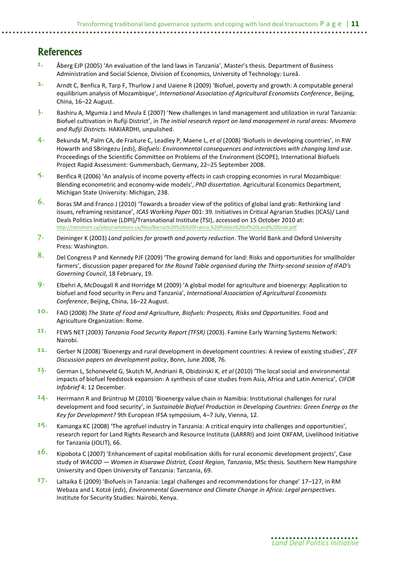## <span id="page-16-0"></span>**References**

- 1. Åberg EJP (2005) 'An evaluation of the land laws in Tanzania', Master's thesis. Department of Business Administration and Social Science, Division of Economics, University of Technology: Lureå.
- 2. Arndt C, Benfica R, Tarp F, Thurlow J and Uaiene R (2009) 'Biofuel, poverty and growth: A computable general equilibrium analysis of Mozambique', *International Association of Agricultural Economists Conference*, Beijing, China, 16–22 August.
- $3.$  Bashiru A, Mgumia J and Mvula E (2007) 'New challenges in land management and utilization in rural Tanzania: Biofuel cultivation in Rufiji District', in *The initial research report on land management in rural areas: Mvomero and Rufiji Districts.* HAKIARDHI, unpulished.
- 4. Bekunda M, Palm CA, de Fraiture C, Leadley P, Maene L, *et al* (2008) 'Biofuels in developing countries', in RW Howarth and SBringezu (*eds*), *Biofuels: Environmental consequences and interactions with changing land use*. Proceedings of the Scientific Committee on Problems of the Environment (SCOPE), International Biofuels Project Rapid Assessment: Gummersbach, Germany, 22–25 September 2008.
- $5.$  Benfica R (2006) 'An analysis of income poverty effects in cash cropping economies in rural Mozambique: Blending econometric and economy-wide models', *PhD dissertation*. Agricultural Economics Department, Michigan State University: Michigan, 238.
- 6. Boras SM and Franco J (2010) 'Towards a broader view of the politics of global land grab: Rethinking land issues, reframing resistance', *ICAS Working Paper* 001: 39*.* Initiatives in Critical Agrarian Studies (ICAS)/ Land Deals Politics Initiative (LDPI)/Transnational Institute (TSI), accessed on 15 October 2010 at: <http://ramshorn.ca/sites/ramshorn.ca/files/Borras%20%26%20Franco,%20Politics%20of%20Land%20Grab.pdf>
- 7. Deininger K (2003) *Land policies for growth and poverty reduction*. The World Bank and Oxford University Press: Washington.
- 8. Del Congress P and Kennedy PJF (2009) 'The growing demand for land: Risks and opportunities for smallholder farmers', discussion paper prepared for *the Round Table organised during the Thirty-second session of IFAD's Governing Council*, 18 February, 19.
- 9. Elbehri A, McDougall R and Horridge M (2009) 'A global model for agriculture and bioenergy: Application to biofuel and food security in Peru and Tanzania', *International Association of Agricultural Economists Conference*, Beijing, China, 16–22 August.
- 10. FAO (2008) *The State of Food and Agriculture, Biofuels: Prospects, Risks and Opportunities*. Food and Agriculture Organization: Rome.
- 11. FEWS NET (2003) *Tanzania Food Security Report (TFSR)* (2003). Famine Early Warning Systems Network: Nairobi.
- 12. Gerber N (2008) 'Bioenergy and rural development in development countries: A review of existing studies', *ZEF Discussion papers on development policy*, Bonn, June 2008, 76.
- 13. German L, Schoneveld G, Skutch M, Andriani R, Obidzinski K, *et al* (2010) 'The local social and environmental impacts of biofuel feedstock expansion: A synthesis of case studies from Asia, Africa and Latin America', *CIFOR Infobrief* 4: 12 December.
- 14. Herrmann R and Brüntrup M (2010) 'Bioenergy value chain in Namibia: Institutional challenges for rural development and food security', in *Sustainable Biofuel Production in Developing Countries: Green Energy as the Key for Development?* 9th European IFSA symposium, 4–7 July, Vienna, 12.
- $15.$  Kamanga KC (2008) 'The agrofuel industry in Tanzania: A critical enquiry into challenges and opportunities', research report for Land Rights Research and Resource Institute (LARRRI) and Joint OXFAM, Livelihood Initiative for Tanzania (JOLIT), 66.
- $16.$  Kipobota C (2007) 'Enhancement of capital mobilisation skills for rural economic development projects', Case study of *WACOD — Women in Kisarawe District, Coast Region, Tanzania*, MSc thesis. Southern New Hampshire University and Open University of Tanzania: Tanzania, 69.
- 17. Laltaika E (2009) 'Biofuels in Tanzania: Legal challenges and recommendations for change' 17–127, in RM Webaza and L Kotzé (*eds*), *Environmental Governance and Climate Change in Africa: Legal perspectives*. Institute for Security Studies: Nairobi, Kenya.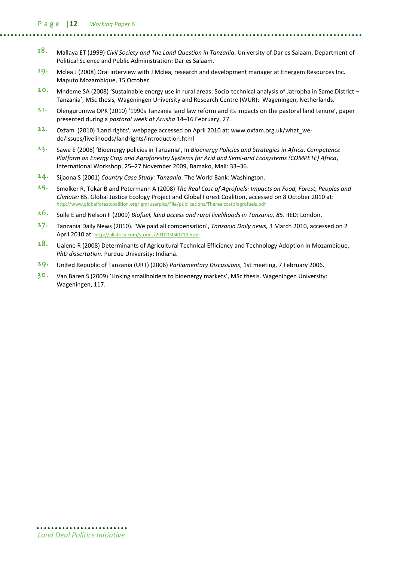- 18. Mallaya ET (1999) *Civil Society and The Land Question in Tanzania*. University of Dar es Salaam, Department of Political Science and Public Administration: Dar es Salaam.
- 19. Mclea J (2008) Oral interview with J Mclea, research and development manager at Energem Resources Inc. Maputo Mozambique, 15 October.
- 20. Mndeme SA (2008) 'Sustainable energy use in rural areas: Socio-technical analysis of Jatropha in Same District Tanzania', MSc thesis*,* Wageningen University and Research Centre (WUR): Wageningen, Netherlands.
- 2 1. Olengurumwa OPK (2010) '1990s Tanzania land law reform and its impacts on the pastoral land tenure', paper presented during a *pastoral week at Arusha* 14–16 February, 27.
- $22.$  Oxfam (2010) 'Land rights', webpage accessed on April 2010 at[: www.oxfam.org.uk/what\\_we](http://www.oxfam.org.uk/what_we-do/issues/livelihoods/landrights/introduction.html)[do/issues/livelihoods/landrights/introduction.html](http://www.oxfam.org.uk/what_we-do/issues/livelihoods/landrights/introduction.html)
- 23. Sawe E (2008) 'Bioenergy policies in Tanzania', In *Bioenergy Policies and Strategies in Africa*. *Competence Platform on Energy Crop and Agroforestry Systems for Arid and Semi-arid Ecosystems (COMPETE) Africa*, International Workshop, 25–27 November 2009, Bamako, Mali: 33–36.
- 24. Sijaona S (2001) *Country Case Study: Tanzania*. The World Bank: Washington.
- 25. Smolker R, Tokar B and Petermann A (2008) *The Real Cost of Agrofuels: Impacts on Food, Forest, Peoples and Climate:* 85. Global Justice Ecology Project and Global Forest Coalition, accessed on 8 October 2010 at: <http://www.globalforestcoalition.org/igm/userpics/File/publications/Therealcostofagrofuels.pdf>
- 26. Sulle E and Nelson F (2009) *Biofuel, land access and rural livelihoods in Tanzania, 85*. IIED: London.
- 27. Tanzania Daily News (2010). 'We paid all compensation', *Tanzania Daily news,* 3 March 2010, accessed on 2 April 2010 at: <http://allafrica.com/stories/201003040710.html>
- 28. Uaiene R (2008) Determinants of Agricultural Technical Efficiency and Technology Adoption in Mozambique, *PhD dissertation*. Purdue University: Indiana.
- 29. United Republic of Tanzania (URT) (2006) *Parliamentary Discussions*, 1st meeting, 7 February 2006.
- 30. Van Baren S (2009) 'Linking smallholders to bioenergy markets', MSc thesis. Wageningen University: Wageningen, 117.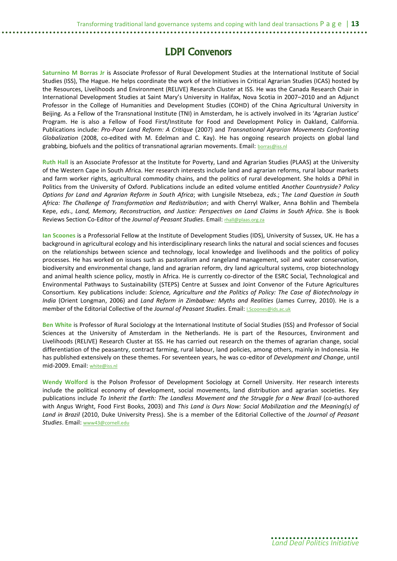## LDPI Convenors

**Saturnino M Borras Jr** is Associate Professor of Rural Development Studies at the International Institute of Social Studies (ISS), The Hague. He helps coordinate the work of the Initiatives in Critical Agrarian Studies (ICAS) hosted by the Resources, Livelihoods and Environment (RELIVE) Research Cluster at ISS. He was the Canada Research Chair in International Development Studies at Saint Mary's University in Halifax, Nova Scotia in 2007–2010 and an Adjunct Professor in the College of Humanities and Development Studies (COHD) of the China Agricultural University in Beijing. As a Fellow of the Transnational Institute (TNI) in Amsterdam, he is actively involved in its 'Agrarian Justice' Program. He is also a Fellow of Food First/Institute for Food and Development Policy in Oakland, California. Publications include: *Pro-Poor Land Reform: A Critique* (2007) and *Transnational Agrarian Movements Confronting Globalization* (2008, co-edited with M. Edelman and C. Kay). He has ongoing research projects on global land grabbing, biofuels and the politics of transnational agrarian movements. Email: [borras@iss.nl](mailto:borras@iss.nl)

**Ruth Hall** is an Associate Professor at the Institute for Poverty, Land and Agrarian Studies (PLAAS) at the University of the Western Cape in South Africa. Her research interests include land and agrarian reforms, rural labour markets and farm worker rights, agricultural commodity chains, and the politics of rural development. She holds a DPhil in Politics from the University of Oxford. Publications include an edited volume entitled *Another Countryside? Policy Options for Land and Agrarian Reform in South Africa*; with Lungisile Ntsebeza, *eds*.; T*he Land Question in South Africa: The Challenge of Transformation and Redistribution*; and with Cherryl Walker, Anna Bohlin and Thembela Kepe, *eds*., *Land, Memory, Reconstruction, and Justice: Perspectives on Land Claims in South Africa*. She is Book Reviews Section Co-Editor of the *Journal of Peasant Studies*. Email: [rhall@plaas.org.za](mailto:rhall@plaas.org.za)

**Ian Scoones** is a Professorial Fellow at the Institute of Development Studies (IDS), University of Sussex, UK. He has a background in agricultural ecology and his interdisciplinary research links the natural and social sciences and focuses on the relationships between science and technology, local knowledge and livelihoods and the politics of policy processes. He has worked on issues such as pastoralism and rangeland management, soil and water conservation, biodiversity and environmental change, land and agrarian reform, dry land agricultural systems, crop biotechnology and animal health science policy, mostly in Africa. He is currently co-director of the ESRC Social, Technological and Environmental Pathways to Sustainability (STEPS) Centre at Sussex and Joint Convenor of the Future Agricultures Consortium. Key publications include: *Science, Agriculture and the Politics of Policy: The Case of Biotechnology in India* (Orient Longman, 2006) and *Land Reform in Zimbabwe: Myths and Realities* (James Currey, 2010). He is a member of the Editorial Collective of the *Journal of Peasant Studies*. Email: [I.Scoones@ids.ac.uk](mailto:I.Scoones@ids.ac.uk)

**Ben White** is Professor of Rural Sociology at the International Institute of Social Studies (ISS) and Professor of Social Sciences at the University of Amsterdam in the Netherlands. He is part of the Resources, Environment and Livelihoods (RELIVE) Research Cluster at ISS. He has carried out research on the themes of agrarian change, social differentiation of the peasantry, contract farming, rural labour, land policies, among others, mainly in Indonesia. He has published extensively on these themes. For seventeen years, he was co-editor of *Development and Change*, until mid-2009. Email: [white@iss.nl](mailto:white@iss.nl)

**Wendy Wolford** is the Polson Professor of Development Sociology at Cornell University. Her research interests include the political economy of development, social movements, land distribution and agrarian societies. Key publications include *To Inherit the Earth: The Landless Movement and the Struggle for a New Brazil* (co-authored with Angus Wright, Food First Books, 2003) and *This Land is Ours Now: Social Mobilization and the Meaning(s) of Land in Brazil* (2010, Duke University Press). She is a member of the Editorial Collective of the *Journal of Peasant Studies*. Email: [www43@cornell.edu](mailto:www43@cornell.edu)